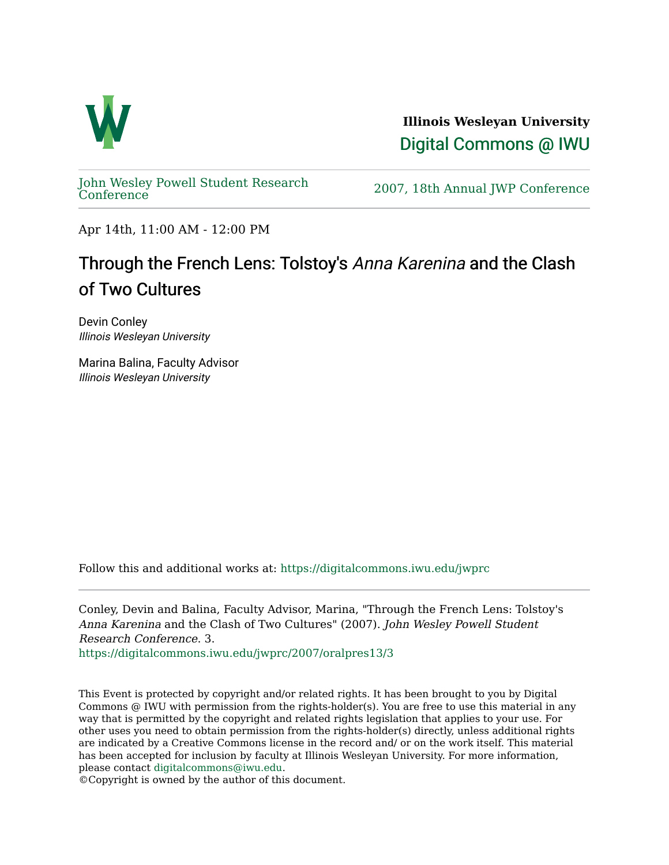

**Illinois Wesleyan University**  [Digital Commons @ IWU](https://digitalcommons.iwu.edu/) 

[John Wesley Powell Student Research](https://digitalcommons.iwu.edu/jwprc) 

2007, 18th Annual JWP [Conference](https://digitalcommons.iwu.edu/jwprc)

Apr 14th, 11:00 AM - 12:00 PM

## Through the French Lens: Tolstoy's Anna Karenina and the Clash of Two Cultures

Devin Conley Illinois Wesleyan University

Marina Balina, Faculty Advisor Illinois Wesleyan University

Follow this and additional works at: [https://digitalcommons.iwu.edu/jwprc](https://digitalcommons.iwu.edu/jwprc?utm_source=digitalcommons.iwu.edu%2Fjwprc%2F2007%2Foralpres13%2F3&utm_medium=PDF&utm_campaign=PDFCoverPages) 

Conley, Devin and Balina, Faculty Advisor, Marina, "Through the French Lens: Tolstoy's Anna Karenina and the Clash of Two Cultures" (2007). John Wesley Powell Student Research Conference. 3.

[https://digitalcommons.iwu.edu/jwprc/2007/oralpres13/3](https://digitalcommons.iwu.edu/jwprc/2007/oralpres13/3?utm_source=digitalcommons.iwu.edu%2Fjwprc%2F2007%2Foralpres13%2F3&utm_medium=PDF&utm_campaign=PDFCoverPages) 

This Event is protected by copyright and/or related rights. It has been brought to you by Digital Commons @ IWU with permission from the rights-holder(s). You are free to use this material in any way that is permitted by the copyright and related rights legislation that applies to your use. For other uses you need to obtain permission from the rights-holder(s) directly, unless additional rights are indicated by a Creative Commons license in the record and/ or on the work itself. This material has been accepted for inclusion by faculty at Illinois Wesleyan University. For more information, please contact [digitalcommons@iwu.edu.](mailto:digitalcommons@iwu.edu)

©Copyright is owned by the author of this document.